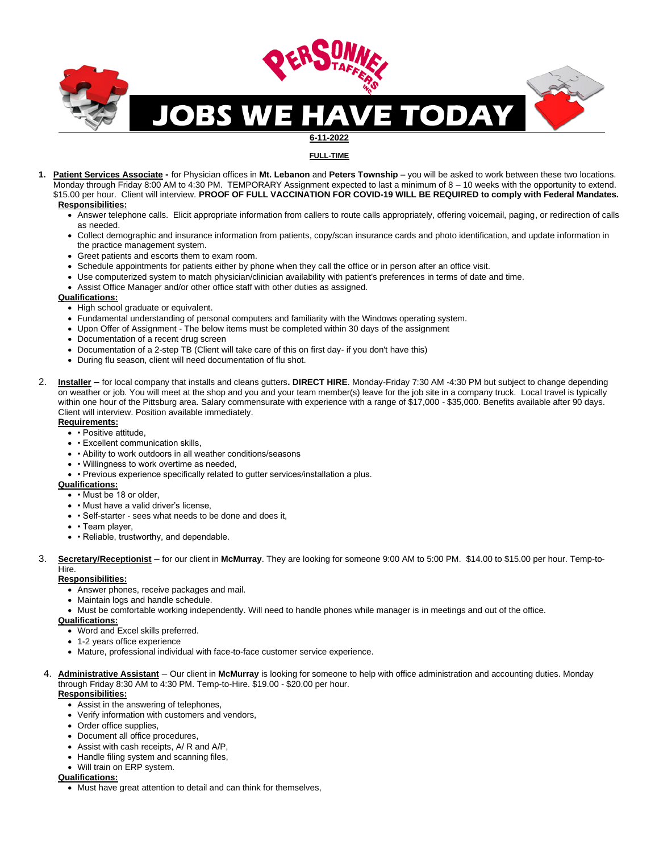

**FULL-TIME**

- **1. Patient Services Associate -** for Physician offices in **Mt. Lebanon** and **Peters Township** you will be asked to work between these two locations. Monday through Friday 8:00 AM to 4:30 PM. TEMPORARY Assignment expected to last a minimum of 8 – 10 weeks with the opportunity to extend. \$15.00 per hour. Client will interview. **PROOF OF FULL VACCINATION FOR COVID-19 WILL BE REQUIRED to comply with Federal Mandates. Responsibilities:** 
	- Answer telephone calls. Elicit appropriate information from callers to route calls appropriately, offering voicemail, paging, or redirection of calls as needed.
	- Collect demographic and insurance information from patients, copy/scan insurance cards and photo identification, and update information in the practice management system.
	- Greet patients and escorts them to exam room.
	- Schedule appointments for patients either by phone when they call the office or in person after an office visit.
	- Use computerized system to match physician/clinician availability with patient's preferences in terms of date and time.
	- Assist Office Manager and/or other office staff with other duties as assigned.

#### **Qualifications:**

- High school graduate or equivalent.
- Fundamental understanding of personal computers and familiarity with the Windows operating system.
- Upon Offer of Assignment The below items must be completed within 30 days of the assignment
- Documentation of a recent drug screen
- Documentation of a 2-step TB (Client will take care of this on first day- if you don't have this)
- During flu season, client will need documentation of flu shot.
- 2. **Installer** for local company that installs and cleans gutters**. DIRECT HIRE**. Monday-Friday 7:30 AM -4:30 PM but subject to change depending on weather or job. You will meet at the shop and you and your team member(s) leave for the job site in a company truck. Local travel is typically within one hour of the Pittsburg area. Salary commensurate with experience with a range of \$17,000 - \$35,000. Benefits available after 90 days. Client will interview. Position available immediately.

#### **Requirements:**

- • Positive attitude,
- • Excellent communication skills,
- • Ability to work outdoors in all weather conditions/seasons
- • Willingness to work overtime as needed,
- • Previous experience specifically related to gutter services/installation a plus.

#### **Qualifications:**

- • Must be 18 or older,
- • Must have a valid driver's license,
- • Self-starter sees what needs to be done and does it,
- • Team player,
- • Reliable, trustworthy, and dependable.
- 3. **Secretary/Receptionist** for our client in **McMurray**. They are looking for someone 9:00 AM to 5:00 PM. \$14.00 to \$15.00 per hour. Temp-to-Hire.

### **Responsibilities:**

- Answer phones, receive packages and mail.
- Maintain logs and handle schedule.
- Must be comfortable working independently. Will need to handle phones while manager is in meetings and out of the office.

#### **Qualifications:**

- Word and Excel skills preferred.
- 1-2 years office experience
- Mature, professional individual with face-to-face customer service experience.
- 4. **Administrative Assistant** Our client in **McMurray** is looking for someone to help with office administration and accounting duties. Monday through Friday 8:30 AM to 4:30 PM. Temp-to-Hire. \$19.00 - \$20.00 per hour. **Responsibilities:**
	- Assist in the answering of telephones,
	- Verify information with customers and vendors,
	- Order office supplies,
	- Document all office procedures,
	- Assist with cash receipts, A/ R and A/P,
	- Handle filing system and scanning files,
	- Will train on ERP system.

## **Qualifications:**

• Must have great attention to detail and can think for themselves,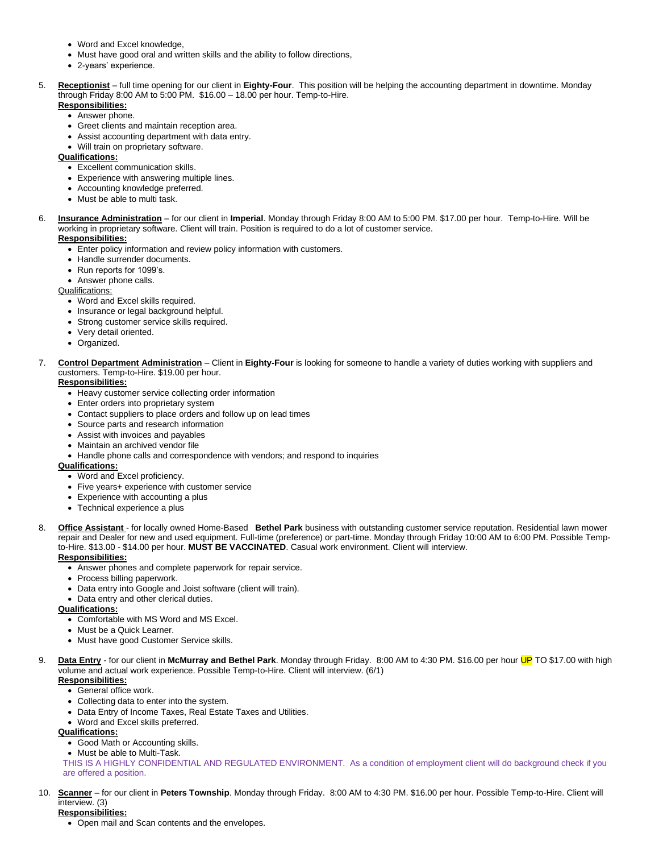- Word and Excel knowledge,
- Must have good oral and written skills and the ability to follow directions,
- 2-years' experience.
- 5. **Receptionist** full time opening for our client in **Eighty-Four**. This position will be helping the accounting department in downtime. Monday through Friday 8:00 AM to 5:00 PM. \$16.00 – 18.00 per hour. Temp-to-Hire.

# **Responsibilities:**

- Answer phone.
- Greet clients and maintain reception area.
- Assist accounting department with data entry.
- Will train on proprietary software.

## **Qualifications:**

- Excellent communication skills.
- Experience with answering multiple lines.
- Accounting knowledge preferred.
- Must be able to multi task.
- 6. **Insurance Administration** for our client in **Imperial**. Monday through Friday 8:00 AM to 5:00 PM. \$17.00 per hour. Temp-to-Hire. Will be working in proprietary software. Client will train. Position is required to do a lot of customer service.

# **Responsibilities:**

- Enter policy information and review policy information with customers.
- Handle surrender documents.
- Run reports for 1099's.
- Answer phone calls.

Qualifications:

- Word and Excel skills required.
- Insurance or legal background helpful.
- Strong customer service skills required.
- Very detail oriented.
- Organized.
- 7. **Control Department Administration** Client in **Eighty-Four** is looking for someone to handle a variety of duties working with suppliers and customers. Temp-to-Hire. \$19.00 per hour.

# **Responsibilities:**

- Heavy customer service collecting order information
- Enter orders into proprietary system
- Contact suppliers to place orders and follow up on lead times
- Source parts and research information
- Assist with invoices and payables
- Maintain an archived vendor file
- Handle phone calls and correspondence with vendors; and respond to inquiries

## **Qualifications:**

- Word and Excel proficiency.
- Five years+ experience with customer service
- Experience with accounting a plus
- Technical experience a plus
- 8. **Office Assistant**  for locally owned Home-Based **Bethel Park** business with outstanding customer service reputation. Residential lawn mower repair and Dealer for new and used equipment. Full-time (preference) or part-time. Monday through Friday 10:00 AM to 6:00 PM. Possible Tempto-Hire. \$13.00 - \$14.00 per hour. **MUST BE VACCINATED**. Casual work environment. Client will interview.

## **Responsibilities:**

- Answer phones and complete paperwork for repair service.
- Process billing paperwork.
- Data entry into Google and Joist software (client will train).
- Data entry and other clerical duties.

# **Qualifications:**

- Comfortable with MS Word and MS Excel.
- Must be a Quick Learner.
- Must have good Customer Service skills.
- 9. **Data Entry** for our client in **McMurray and Bethel Park**. Monday through Friday. 8:00 AM to 4:30 PM. \$16.00 per hour UP TO \$17.00 with high volume and actual work experience. Possible Temp-to-Hire. Client will interview. (6/1) **Responsibilities:**
	- General office work.
	- Collecting data to enter into the system.
	- Data Entry of Income Taxes, Real Estate Taxes and Utilities.
	- Word and Excel skills preferred.
	- **Qualifications:**
		- Good Math or Accounting skills.
		- Must be able to Multi-Task.

THIS IS A HIGHLY CONFIDENTIAL AND REGULATED ENVIRONMENT. As a condition of employment client will do background check if you are offered a position.

10. **Scanner** – for our client in **Peters Township**. Monday through Friday. 8:00 AM to 4:30 PM. \$16.00 per hour. Possible Temp-to-Hire. Client will interview. (3)

# **Responsibilities:**

• Open mail and Scan contents and the envelopes.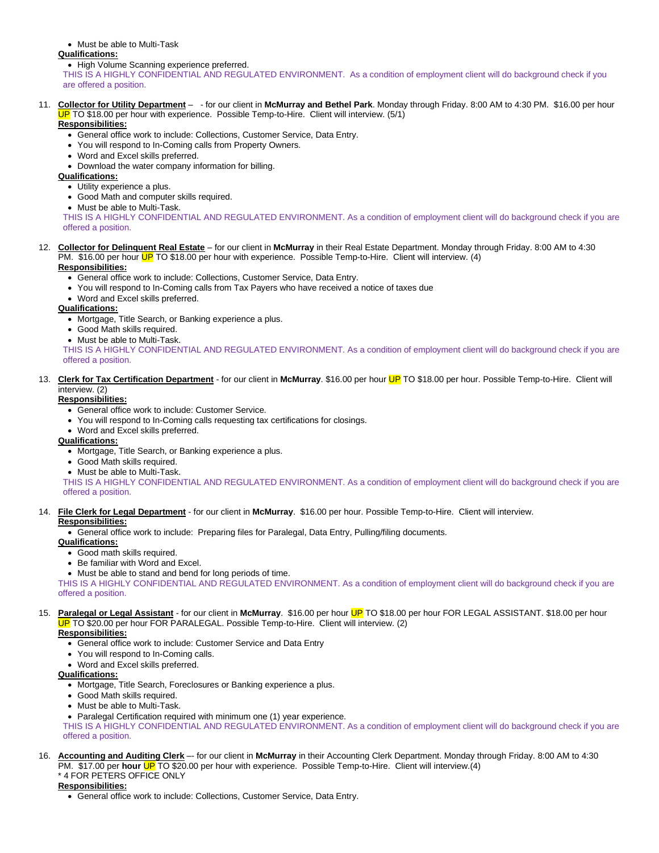• Must be able to Multi-Task

#### **Qualifications:**

• High Volume Scanning experience preferred.

THIS IS A HIGHLY CONFIDENTIAL AND REGULATED ENVIRONMENT. As a condition of employment client will do background check if you are offered a position.

#### 11. **Collector for Utility Department** – - for our client in **McMurray and Bethel Park**. Monday through Friday. 8:00 AM to 4:30 PM. \$16.00 per hour JP TO \$18.00 per hour with experience. Possible Temp-to-Hire. Client will interview. (5/1)

### **Responsibilities:**

- General office work to include: Collections, Customer Service, Data Entry.
- You will respond to In-Coming calls from Property Owners.
- Word and Excel skills preferred.
- Download the water company information for billing.

### **Qualifications:**

- Utility experience a plus.
- Good Math and computer skills required.
- Must be able to Multi-Task.

THIS IS A HIGHLY CONFIDENTIAL AND REGULATED ENVIRONMENT. As a condition of employment client will do background check if you are offered a position.

#### 12. **Collector for Delinquent Real Estate** – for our client in **McMurray** in their Real Estate Department. Monday through Friday. 8:00 AM to 4:30 PM. \$16.00 per hour UP TO \$18.00 per hour with experience. Possible Temp-to-Hire. Client will interview. (4) **Responsibilities:**

- General office work to include: Collections, Customer Service, Data Entry.
- You will respond to In-Coming calls from Tax Payers who have received a notice of taxes due
- Word and Excel skills preferred.

### **Qualifications:**

- Mortgage, Title Search, or Banking experience a plus.
- Good Math skills required.
- Must be able to Multi-Task.

THIS IS A HIGHLY CONFIDENTIAL AND REGULATED ENVIRONMENT. As a condition of employment client will do background check if you are offered a position.

#### 13. **Clerk for Tax Certification Department** - for our client in **McMurray**. \$16.00 per hour UP TO \$18.00 per hour. Possible Temp-to-Hire. Client will interview. (2)

#### **Responsibilities:**

- General office work to include: Customer Service.
- You will respond to In-Coming calls requesting tax certifications for closings.
- Word and Excel skills preferred.

## **Qualifications:**

- Mortgage, Title Search, or Banking experience a plus.
- Good Math skills required.
- Must be able to Multi-Task.

THIS IS A HIGHLY CONFIDENTIAL AND REGULATED ENVIRONMENT. As a condition of employment client will do background check if you are offered a position.

#### 14. **File Clerk for Legal Department** - for our client in **McMurray**. \$16.00 per hour. Possible Temp-to-Hire. Client will interview. **Responsibilities:**

• General office work to include: Preparing files for Paralegal, Data Entry, Pulling/filing documents.

#### **Qualifications:**

- Good math skills required.
- Be familiar with Word and Excel.
- Must be able to stand and bend for long periods of time.

THIS IS A HIGHLY CONFIDENTIAL AND REGULATED ENVIRONMENT. As a condition of employment client will do background check if you are offered a position.

#### 15. **Paralegal or Legal Assistant** - for our client in **McMurray**. \$16.00 per hour UP TO \$18.00 per hour FOR LEGAL ASSISTANT. \$18.00 per hour JP TO \$20.00 per hour FOR PARALEGAL. Possible Temp-to-Hire. Client will interview. (2) **Responsibilities:**

- General office work to include: Customer Service and Data Entry
- You will respond to In-Coming calls.
- Word and Excel skills preferred.

### **Qualifications:**

- Mortgage, Title Search, Foreclosures or Banking experience a plus.
- Good Math skills required.
- Must be able to Multi-Task.
- Paralegal Certification required with minimum one (1) year experience.

THIS IS A HIGHLY CONFIDENTIAL AND REGULATED ENVIRONMENT. As a condition of employment client will do background check if you are offered a position.

- 16. **Accounting and Auditing Clerk** –- for our client in **McMurray** in their Accounting Clerk Department. Monday through Friday. 8:00 AM to 4:30 PM. \$17.00 per **hour** UP TO \$20.00 per hour with experience. Possible Temp-to-Hire. Client will interview.(4)
	- \* 4 FOR PETERS OFFICE ONLY

# **Responsibilities:**

• General office work to include: Collections, Customer Service, Data Entry.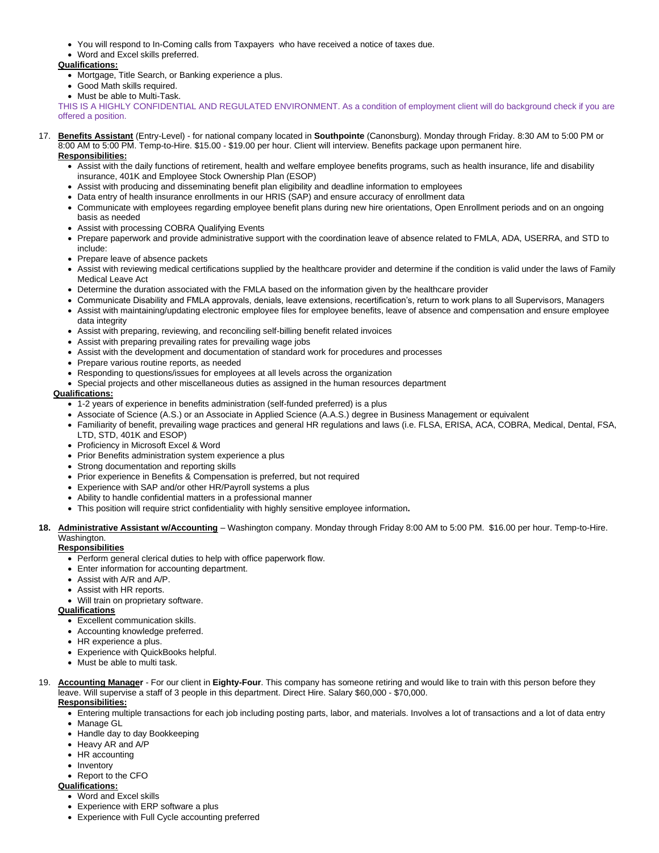- You will respond to In-Coming calls from Taxpayers who have received a notice of taxes due.
- Word and Excel skills preferred.

- Mortgage, Title Search, or Banking experience a plus.
- Good Math skills required.
- Must be able to Multi-Task.

THIS IS A HIGHLY CONFIDENTIAL AND REGULATED ENVIRONMENT. As a condition of employment client will do background check if you are offered a position.

17. **Benefits Assistant** (Entry-Level) - for national company located in **Southpointe** (Canonsburg). Monday through Friday. 8:30 AM to 5:00 PM or 8:00 AM to 5:00 PM. Temp-to-Hire. \$15.00 - \$19.00 per hour. Client will interview. Benefits package upon permanent hire.

## **Responsibilities:**

- Assist with the daily functions of retirement, health and welfare employee benefits programs, such as health insurance, life and disability insurance, 401K and Employee Stock Ownership Plan (ESOP)
- Assist with producing and disseminating benefit plan eligibility and deadline information to employees
- Data entry of health insurance enrollments in our HRIS (SAP) and ensure accuracy of enrollment data
- Communicate with employees regarding employee benefit plans during new hire orientations, Open Enrollment periods and on an ongoing basis as needed
- Assist with processing COBRA Qualifying Events
- Prepare paperwork and provide administrative support with the coordination leave of absence related to FMLA, ADA, USERRA, and STD to include:
- Prepare leave of absence packets
- Assist with reviewing medical certifications supplied by the healthcare provider and determine if the condition is valid under the laws of Family Medical Leave Act
- Determine the duration associated with the FMLA based on the information given by the healthcare provider
- Communicate Disability and FMLA approvals, denials, leave extensions, recertification's, return to work plans to all Supervisors, Managers
- Assist with maintaining/updating electronic employee files for employee benefits, leave of absence and compensation and ensure employee data integrity
- Assist with preparing, reviewing, and reconciling self-billing benefit related invoices
- Assist with preparing prevailing rates for prevailing wage jobs
- Assist with the development and documentation of standard work for procedures and processes
- Prepare various routine reports, as needed
- Responding to questions/issues for employees at all levels across the organization
- Special projects and other miscellaneous duties as assigned in the human resources department

## **Qualifications:**

- 1-2 years of experience in benefits administration (self-funded preferred) is a plus
- Associate of Science (A.S.) or an Associate in Applied Science (A.A.S.) degree in Business Management or equivalent
- Familiarity of benefit, prevailing wage practices and general HR regulations and laws (i.e. FLSA, ERISA, ACA, COBRA, Medical, Dental, FSA, LTD, STD, 401K and ESOP)
- Proficiency in Microsoft Excel & Word
- Prior Benefits administration system experience a plus
- Strong documentation and reporting skills
- Prior experience in Benefits & Compensation is preferred, but not required
- Experience with SAP and/or other HR/Payroll systems a plus
- Ability to handle confidential matters in a professional manner
- This position will require strict confidentiality with highly sensitive employee information**.**

## **18. Administrative Assistant w/Accounting** – Washington company. Monday through Friday 8:00 AM to 5:00 PM. \$16.00 per hour. Temp-to-Hire. Washington

## **Responsibilities**

- Perform general clerical duties to help with office paperwork flow.
- Enter information for accounting department.
- Assist with A/R and A/P.
- Assist with HR reports.
- Will train on proprietary software.

## **Qualifications**

- Excellent communication skills.
- Accounting knowledge preferred.
- HR experience a plus.
- Experience with QuickBooks helpful.
- Must be able to multi task.
- 19. **Accounting Manager** For our client in **Eighty-Four**. This company has someone retiring and would like to train with this person before they leave. Will supervise a staff of 3 people in this department. Direct Hire. Salary \$60,000 - \$70,000.

# **Responsibilities:**

- Entering multiple transactions for each job including posting parts, labor, and materials. Involves a lot of transactions and a lot of data entry
- Manage GL
- Handle day to day Bookkeeping
- Heavy AR and A/P
- HR accounting
- Inventory
- Report to the CFO

#### **Qualifications:**

- Word and Excel skills
- Experience with ERP software a plus
- Experience with Full Cycle accounting preferred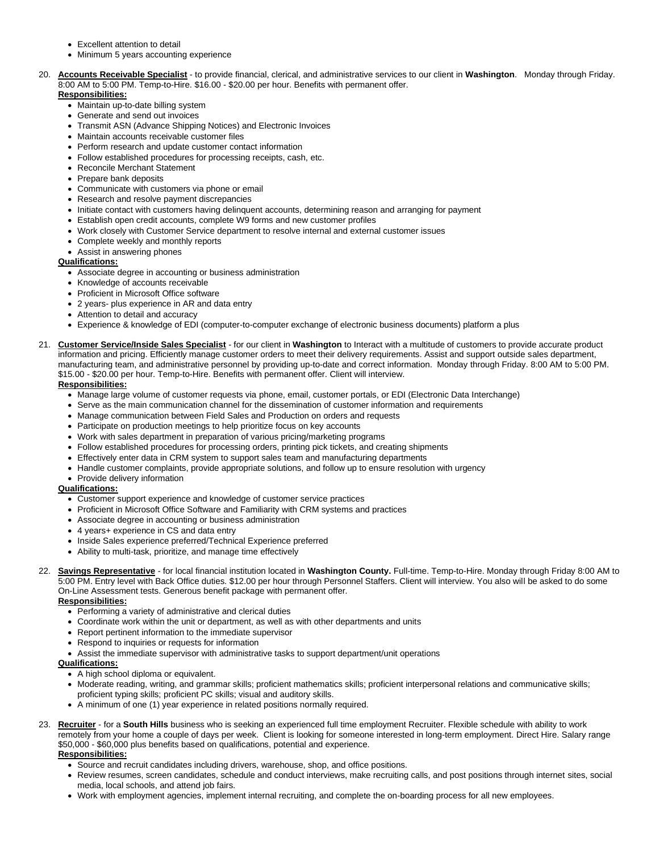- Excellent attention to detail
- Minimum 5 years accounting experience
- 20. **Accounts Receivable Specialist** to provide financial, clerical, and administrative services to our client in **Washington**. Monday through Friday. 8:00 AM to 5:00 PM. Temp-to-Hire. \$16.00 - \$20.00 per hour. Benefits with permanent offer. **Responsibilities:**
	- Maintain up-to-date billing system
	- Generate and send out invoices
	- Transmit ASN (Advance Shipping Notices) and Electronic Invoices
	- Maintain accounts receivable customer files
	- Perform research and update customer contact information
	- Follow established procedures for processing receipts, cash, etc.
	- Reconcile Merchant Statement
	- Prepare bank deposits
	- Communicate with customers via phone or email
	- Research and resolve payment discrepancies
	- Initiate contact with customers having delinquent accounts, determining reason and arranging for payment
	- Establish open credit accounts, complete W9 forms and new customer profiles
	- Work closely with Customer Service department to resolve internal and external customer issues
	- Complete weekly and monthly reports
	- Assist in answering phones

- Associate degree in accounting or business administration
- Knowledge of accounts receivable
- Proficient in Microsoft Office software
- 2 years- plus experience in AR and data entry
- Attention to detail and accuracy
- Experience & knowledge of EDI (computer-to-computer exchange of electronic business documents) platform a plus
- 21. **Customer Service/Inside Sales Specialist** for our client in **Washington** to Interact with a multitude of customers to provide accurate product information and pricing. Efficiently manage customer orders to meet their delivery requirements. Assist and support outside sales department, manufacturing team, and administrative personnel by providing up-to-date and correct information. Monday through Friday. 8:00 AM to 5:00 PM. \$15.00 - \$20.00 per hour. Temp-to-Hire. Benefits with permanent offer. Client will interview.

#### **Responsibilities:**

- Manage large volume of customer requests via phone, email, customer portals, or EDI (Electronic Data Interchange)
- Serve as the main communication channel for the dissemination of customer information and requirements
- Manage communication between Field Sales and Production on orders and requests
- Participate on production meetings to help prioritize focus on key accounts
- Work with sales department in preparation of various pricing/marketing programs
- Follow established procedures for processing orders, printing pick tickets, and creating shipments
- Effectively enter data in CRM system to support sales team and manufacturing departments
- Handle customer complaints, provide appropriate solutions, and follow up to ensure resolution with urgency
- Provide delivery information

#### **Qualifications:**

- Customer support experience and knowledge of customer service practices
- Proficient in Microsoft Office Software and Familiarity with CRM systems and practices
- Associate degree in accounting or business administration
- 4 years+ experience in CS and data entry
- Inside Sales experience preferred/Technical Experience preferred
- Ability to multi-task, prioritize, and manage time effectively
- 22. **Savings Representative** for local financial institution located in **Washington County.** Full-time. Temp-to-Hire. Monday through Friday 8:00 AM to 5:00 PM. Entry level with Back Office duties. \$12.00 per hour through Personnel Staffers. Client will interview. You also will be asked to do some On-Line Assessment tests. Generous benefit package with permanent offer*.*

## **Responsibilities:**

- Performing a variety of administrative and clerical duties
- Coordinate work within the unit or department, as well as with other departments and units
- Report pertinent information to the immediate supervisor
- Respond to inquiries or requests for information
- Assist the immediate supervisor with administrative tasks to support department/unit operations

## **Qualifications:**

- A high school diploma or equivalent.
- Moderate reading, writing, and grammar skills; proficient mathematics skills; proficient interpersonal relations and communicative skills; proficient typing skills; proficient PC skills; visual and auditory skills.
- A minimum of one (1) year experience in related positions normally required.
- 23. **Recruiter** for a **South Hills** business who is seeking an experienced full time employment Recruiter. Flexible schedule with ability to work remotely from your home a couple of days per week. Client is looking for someone interested in long-term employment. Direct Hire. Salary range \$50,000 - \$60,000 plus benefits based on qualifications, potential and experience.

## **Responsibilities:**

- Source and recruit candidates including drivers, warehouse, shop, and office positions.
- Review resumes, screen candidates, schedule and conduct interviews, make recruiting calls, and post positions through internet sites, social media, local schools, and attend job fairs.
- Work with employment agencies, implement internal recruiting, and complete the on-boarding process for all new employees.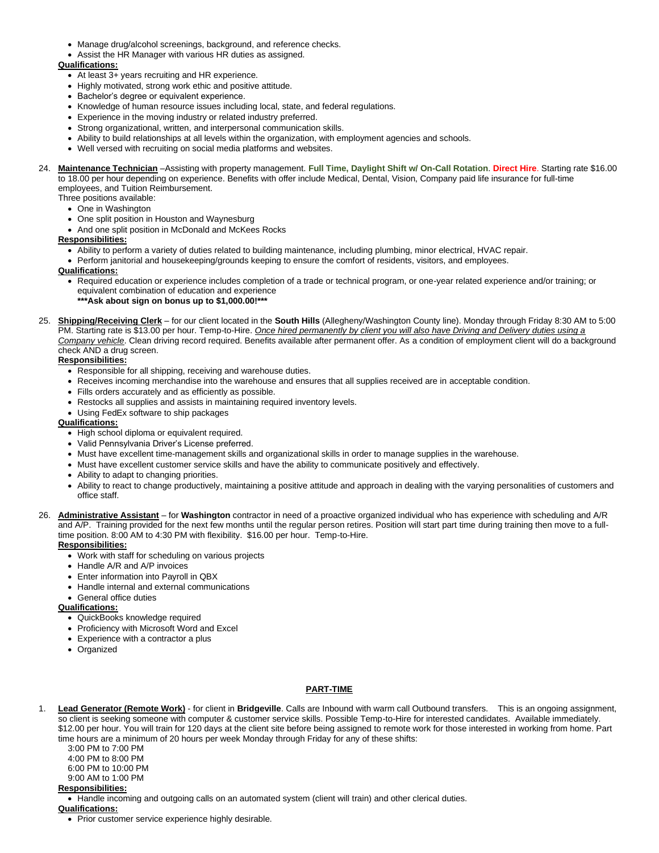- Manage drug/alcohol screenings, background, and reference checks.
- Assist the HR Manager with various HR duties as assigned.

- At least 3+ years recruiting and HR experience.
- Highly motivated, strong work ethic and positive attitude.
- Bachelor's degree or equivalent experience.
- Knowledge of human resource issues including local, state, and federal regulations.
- Experience in the moving industry or related industry preferred.
- Strong organizational, written, and interpersonal communication skills.
- Ability to build relationships at all levels within the organization, with employment agencies and schools.
- Well versed with recruiting on social media platforms and websites.

#### 24. **Maintenance Technician** –Assisting with property management. **Full Time, Daylight Shift w/ On-Call Rotation**. **Direct Hire**. Starting rate \$16.00 to 18.00 per hour depending on experience. Benefits with offer include Medical, Dental, Vision, Company paid life insurance for full-time employees, and Tuition Reimbursement.

- Three positions available:
	- One in Washington
	- One split position in Houston and Waynesburg
	- And one split position in McDonald and McKees Rocks

#### **Responsibilities:**

- Ability to perform a variety of duties related to building maintenance, including plumbing, minor electrical, HVAC repair.
- Perform janitorial and housekeeping/grounds keeping to ensure the comfort of residents, visitors, and employees.

## **Qualifications:**

- Required education or experience includes completion of a trade or technical program, or one-year related experience and/or training; or equivalent combination of education and experience **\*\*\*Ask about sign on bonus up to \$1,000.00!\*\*\***
- 25. **Shipping/Receiving Clerk** for our client located in the **South Hills** (Allegheny/Washington County line). Monday through Friday 8:30 AM to 5:00 PM. Starting rate is \$13.00 per hour. Temp-to-Hire. *Once hired permanently by client you will also have Driving and Delivery duties using a Company vehicle*. Clean driving record required. Benefits available after permanent offer. As a condition of employment client will do a background check AND a drug screen.

#### **Responsibilities:**

- Responsible for all shipping, receiving and warehouse duties.
- Receives incoming merchandise into the warehouse and ensures that all supplies received are in acceptable condition.
- Fills orders accurately and as efficiently as possible.
- Restocks all supplies and assists in maintaining required inventory levels.
- Using FedEx software to ship packages

#### **Qualifications:**

- High school diploma or equivalent required.
- Valid Pennsylvania Driver's License preferred.
- Must have excellent time-management skills and organizational skills in order to manage supplies in the warehouse.
- Must have excellent customer service skills and have the ability to communicate positively and effectively.
- Ability to adapt to changing priorities.
- Ability to react to change productively, maintaining a positive attitude and approach in dealing with the varying personalities of customers and office staff.
- 26. **Administrative Assistant** for **Washington** contractor in need of a proactive organized individual who has experience with scheduling and A/R and A/P. Training provided for the next few months until the regular person retires. Position will start part time during training then move to a fulltime position. 8:00 AM to 4:30 PM with flexibility. \$16.00 per hour. Temp-to-Hire.

**Responsibilities:**

- Work with staff for scheduling on various projects
- Handle A/R and A/P invoices
- Enter information into Payroll in QBX
- Handle internal and external communications
- General office duties

#### **Qualifications:**

- QuickBooks knowledge required
- Proficiency with Microsoft Word and Excel
- Experience with a contractor a plus
- Organized

## **PART-TIME**

1. **Lead Generator (Remote Work)** - for client in **Bridgeville**. Calls are Inbound with warm call Outbound transfers. This is an ongoing assignment, so client is seeking someone with computer & customer service skills. Possible Temp-to-Hire for interested candidates. Available immediately. \$12.00 per hour. You will train for 120 days at the client site before being assigned to remote work for those interested in working from home. Part time hours are a minimum of 20 hours per week Monday through Friday for any of these shifts:

3:00 PM to 7:00 PM

4:00 PM to 8:00 PM

6:00 PM to 10:00 PM

#### 9:00 AM to 1:00 PM **Responsibilities:**

• Handle incoming and outgoing calls on an automated system (client will train) and other clerical duties.

**Qualifications:**

<sup>•</sup> Prior customer service experience highly desirable.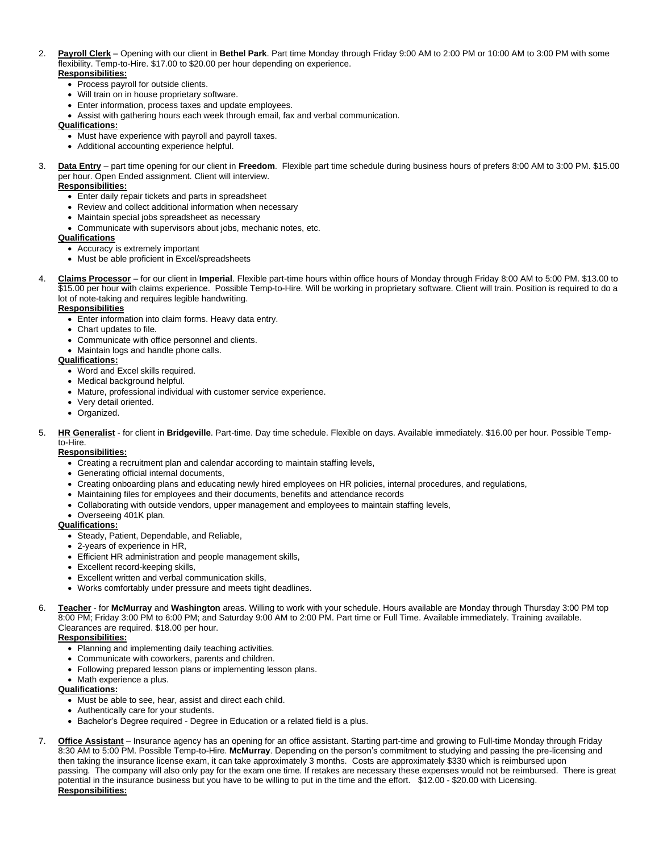#### 2. **Payroll Clerk** – Opening with our client in **Bethel Park**. Part time Monday through Friday 9:00 AM to 2:00 PM or 10:00 AM to 3:00 PM with some flexibility. Temp-to-Hire. \$17.00 to \$20.00 per hour depending on experience. **Responsibilities:**

- Process payroll for outside clients.
- Will train on in house proprietary software.
- Enter information, process taxes and update employees.
- Assist with gathering hours each week through email, fax and verbal communication.

#### **Qualifications:**

- Must have experience with payroll and payroll taxes.
- Additional accounting experience helpful.
- 3. **Data Entry** part time opening for our client in **Freedom**. Flexible part time schedule during business hours of prefers 8:00 AM to 3:00 PM. \$15.00 per hour. Open Ended assignment. Client will interview.

#### **Responsibilities:**

- Enter daily repair tickets and parts in spreadsheet
- Review and collect additional information when necessary
- Maintain special jobs spreadsheet as necessary
- Communicate with supervisors about jobs, mechanic notes, etc.

#### **Qualifications**

- Accuracy is extremely important
- Must be able proficient in Excel/spreadsheets
- 4. **Claims Processor** for our client in **Imperial**. Flexible part-time hours within office hours of Monday through Friday 8:00 AM to 5:00 PM. \$13.00 to \$15.00 per hour with claims experience. Possible Temp-to-Hire. Will be working in proprietary software. Client will train. Position is required to do a lot of note-taking and requires legible handwriting.

#### **Responsibilities**

- Enter information into claim forms. Heavy data entry.
- Chart updates to file.
- Communicate with office personnel and clients.
- Maintain logs and handle phone calls.

#### **Qualifications:**

- Word and Excel skills required.
- Medical background helpful.
- Mature, professional individual with customer service experience.
- Very detail oriented.
- Organized.
- 5. **HR Generalist** for client in **Bridgeville**. Part-time. Day time schedule. Flexible on days. Available immediately. \$16.00 per hour. Possible Tempto-Hire.

#### **Responsibilities:**

- Creating a recruitment plan and calendar according to maintain staffing levels,
- Generating official internal documents,
- Creating onboarding plans and educating newly hired employees on HR policies, internal procedures, and regulations,
- Maintaining files for employees and their documents, benefits and attendance records
- Collaborating with outside vendors, upper management and employees to maintain staffing levels,
- Overseeing 401K plan.

#### **Qualifications:**

- Steady, Patient, Dependable, and Reliable,
- 2-years of experience in HR,
- Efficient HR administration and people management skills,
- Excellent record-keeping skills,
- Excellent written and verbal communication skills,
- Works comfortably under pressure and meets tight deadlines.
- 6. **Teacher** for **McMurray** and **Washington** areas. Willing to work with your schedule. Hours available are Monday through Thursday 3:00 PM top 8:00 PM; Friday 3:00 PM to 6:00 PM; and Saturday 9:00 AM to 2:00 PM. Part time or Full Time. Available immediately. Training available. Clearances are required. \$18.00 per hour.

# **Responsibilities:**

- Planning and implementing daily teaching activities.
- Communicate with coworkers, parents and children.
- Following prepared lesson plans or implementing lesson plans.
- Math experience a plus.

#### **Qualifications:**

- Must be able to see, hear, assist and direct each child.
- Authentically care for your students.
- Bachelor's Degree required Degree in Education or a related field is a plus.
- 7. **Office Assistant** Insurance agency has an opening for an office assistant. Starting part-time and growing to Full-time Monday through Friday 8:30 AM to 5:00 PM. Possible Temp-to-Hire. **McMurray**. Depending on the person's commitment to studying and passing the pre-licensing and then taking the insurance license exam, it can take approximately 3 months. Costs are approximately \$330 which is reimbursed upon passing. The company will also only pay for the exam one time. If retakes are necessary these expenses would not be reimbursed. There is great potential in the insurance business but you have to be willing to put in the time and the effort. \$12.00 - \$20.00 with Licensing. **Responsibilities:**